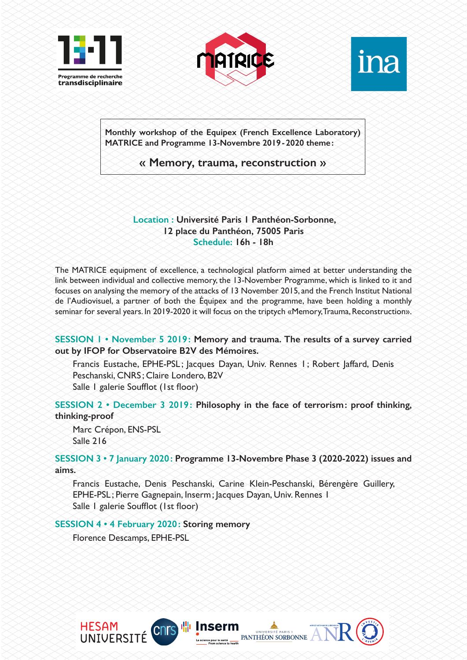





#### **Monthly workshop of the Equipex (French Excellence Laboratory) MATRICE and Programme 13-Novembre 2019-2020 theme:**

# **« Memory, trauma, reconstruction »**

# **Location : Université Paris 1 Panthéon-Sorbonne, 12 place du Panthéon, 75005 Paris Schedule: 16h - 18h**

The MATRICE equipment of excellence, a technological platform aimed at better understanding the link between individual and collective memory, the 13-November Programme, which is linked to it and focuses on analysing the memory of the attacks of 13 November 2015, and the French Institut National de l'Audiovisuel, a partner of both the Équipex and the programme, have been holding a monthly seminar for several years. In 2019-2020 it will focus on the triptych «Memory, Trauma, Reconstruction».

# **SESSION 1 • November 5 2019: Memory and trauma. The results of a survey carried out by IFOP for Observatoire B2V des Mémoires.**

Francis Eustache, EPHE-PSL; Jacques Dayan, Univ. Rennes 1; Robert Jaffard, Denis Peschanski, CNRS; Claire Londero, B2V Salle 1 galerie Soufflot (1st floor)

# **SESSION 2 • December 3 2019: Philosophy in the face of terrorism: proof thinking, thinking-proof**

Marc Crépon, ENS-PSL Salle 216

**SESSION 3 • 7 January 2020: Programme 13-Novembre Phase 3 (2020-2022) issues and aims.**

Francis Eustache, Denis Peschanski, Carine Klein-Peschanski, Bérengère Guillery, EPHE-PSL ; Pierre Gagnepain, Inserm; Jacques Dayan, Univ. Rennes 1 Salle 1 galerie Soufflot (1st floor)

**SESSION 4 • 4 February 2020: Storing memory**

Florence Descamps, EPHE-PSL